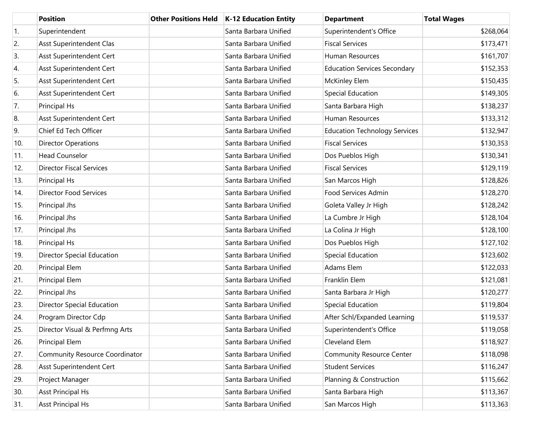|     | <b>Position</b>                   | <b>Other Positions Held</b> | <b>K-12 Education Entity</b> | <b>Department</b>                    | <b>Total Wages</b> |
|-----|-----------------------------------|-----------------------------|------------------------------|--------------------------------------|--------------------|
| 1.  | Superintendent                    |                             | Santa Barbara Unified        | Superintendent's Office              | \$268,064          |
| 2.  | Asst Superintendent Clas          |                             | Santa Barbara Unified        | <b>Fiscal Services</b>               | \$173,471          |
| 3.  | Asst Superintendent Cert          |                             | Santa Barbara Unified        | Human Resources                      | \$161,707          |
| 4.  | Asst Superintendent Cert          |                             | Santa Barbara Unified        | <b>Education Services Secondary</b>  | \$152,353          |
| 5.  | Asst Superintendent Cert          |                             | Santa Barbara Unified        | <b>McKinley Elem</b>                 | \$150,435          |
| 6.  | Asst Superintendent Cert          |                             | Santa Barbara Unified        | Special Education                    | \$149,305          |
| 7.  | Principal Hs                      |                             | Santa Barbara Unified        | Santa Barbara High                   | \$138,237          |
| 8.  | Asst Superintendent Cert          |                             | Santa Barbara Unified        | Human Resources                      | \$133,312          |
| 9.  | Chief Ed Tech Officer             |                             | Santa Barbara Unified        | <b>Education Technology Services</b> | \$132,947          |
| 10. | <b>Director Operations</b>        |                             | Santa Barbara Unified        | <b>Fiscal Services</b>               | \$130,353          |
| 11. | <b>Head Counselor</b>             |                             | Santa Barbara Unified        | Dos Pueblos High                     | \$130,341          |
| 12. | <b>Director Fiscal Services</b>   |                             | Santa Barbara Unified        | <b>Fiscal Services</b>               | \$129,119          |
| 13. | Principal Hs                      |                             | Santa Barbara Unified        | San Marcos High                      | \$128,826          |
| 14. | <b>Director Food Services</b>     |                             | Santa Barbara Unified        | Food Services Admin                  | \$128,270          |
| 15. | Principal Jhs                     |                             | Santa Barbara Unified        | Goleta Valley Jr High                | \$128,242          |
| 16. | Principal Jhs                     |                             | Santa Barbara Unified        | La Cumbre Jr High                    | \$128,104          |
| 17. | Principal Jhs                     |                             | Santa Barbara Unified        | La Colina Jr High                    | \$128,100          |
| 18. | Principal Hs                      |                             | Santa Barbara Unified        | Dos Pueblos High                     | \$127,102          |
| 19. | <b>Director Special Education</b> |                             | Santa Barbara Unified        | Special Education                    | \$123,602          |
| 20. | Principal Elem                    |                             | Santa Barbara Unified        | Adams Elem                           | \$122,033          |
| 21. | Principal Elem                    |                             | Santa Barbara Unified        | Franklin Elem                        | \$121,081          |
| 22. | Principal Jhs                     |                             | Santa Barbara Unified        | Santa Barbara Jr High                | \$120,277          |
| 23. | <b>Director Special Education</b> |                             | Santa Barbara Unified        | Special Education                    | \$119,804          |
| 24. | Program Director Cdp              |                             | Santa Barbara Unified        | After Schl/Expanded Learning         | \$119,537          |
| 25. | Director Visual & Perfmng Arts    |                             | Santa Barbara Unified        | Superintendent's Office              | \$119,058          |
| 26. | Principal Elem                    |                             | Santa Barbara Unified        | Cleveland Elem                       | \$118,927          |
| 27. | Community Resource Coordinator    |                             | Santa Barbara Unified        | <b>Community Resource Center</b>     | \$118,098          |
| 28. | Asst Superintendent Cert          |                             | Santa Barbara Unified        | <b>Student Services</b>              | \$116,247          |
| 29. | Project Manager                   |                             | Santa Barbara Unified        | Planning & Construction              | \$115,662          |
| 30. | <b>Asst Principal Hs</b>          |                             | Santa Barbara Unified        | Santa Barbara High                   | \$113,367          |
| 31. | <b>Asst Principal Hs</b>          |                             | Santa Barbara Unified        | San Marcos High                      | \$113,363          |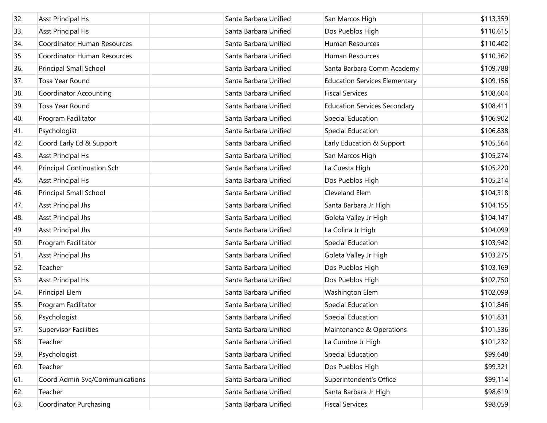| 32. | <b>Asst Principal Hs</b>          | Santa Barbara Unified | San Marcos High                      | \$113,359 |
|-----|-----------------------------------|-----------------------|--------------------------------------|-----------|
| 33. | <b>Asst Principal Hs</b>          | Santa Barbara Unified | Dos Pueblos High                     | \$110,615 |
| 34. | Coordinator Human Resources       | Santa Barbara Unified | Human Resources                      | \$110,402 |
| 35. | Coordinator Human Resources       | Santa Barbara Unified | Human Resources                      | \$110,362 |
| 36. | Principal Small School            | Santa Barbara Unified | Santa Barbara Comm Academy           | \$109,788 |
| 37. | Tosa Year Round                   | Santa Barbara Unified | <b>Education Services Elementary</b> | \$109,156 |
| 38. | <b>Coordinator Accounting</b>     | Santa Barbara Unified | <b>Fiscal Services</b>               | \$108,604 |
| 39. | Tosa Year Round                   | Santa Barbara Unified | <b>Education Services Secondary</b>  | \$108,411 |
| 40. | Program Facilitator               | Santa Barbara Unified | <b>Special Education</b>             | \$106,902 |
| 41. | Psychologist                      | Santa Barbara Unified | Special Education                    | \$106,838 |
| 42. | Coord Early Ed & Support          | Santa Barbara Unified | Early Education & Support            | \$105,564 |
| 43. | <b>Asst Principal Hs</b>          | Santa Barbara Unified | San Marcos High                      | \$105,274 |
| 44. | <b>Principal Continuation Sch</b> | Santa Barbara Unified | La Cuesta High                       | \$105,220 |
| 45. | <b>Asst Principal Hs</b>          | Santa Barbara Unified | Dos Pueblos High                     | \$105,214 |
| 46. | Principal Small School            | Santa Barbara Unified | Cleveland Elem                       | \$104,318 |
| 47. | <b>Asst Principal Jhs</b>         | Santa Barbara Unified | Santa Barbara Jr High                | \$104,155 |
| 48. | <b>Asst Principal Jhs</b>         | Santa Barbara Unified | Goleta Valley Jr High                | \$104,147 |
| 49. | <b>Asst Principal Jhs</b>         | Santa Barbara Unified | La Colina Jr High                    | \$104,099 |
| 50. | Program Facilitator               | Santa Barbara Unified | <b>Special Education</b>             | \$103,942 |
| 51. | <b>Asst Principal Jhs</b>         | Santa Barbara Unified | Goleta Valley Jr High                | \$103,275 |
| 52. | Teacher                           | Santa Barbara Unified | Dos Pueblos High                     | \$103,169 |
| 53. | <b>Asst Principal Hs</b>          | Santa Barbara Unified | Dos Pueblos High                     | \$102,750 |
| 54. | <b>Principal Elem</b>             | Santa Barbara Unified | Washington Elem                      | \$102,099 |
| 55. | Program Facilitator               | Santa Barbara Unified | <b>Special Education</b>             | \$101,846 |
| 56. | Psychologist                      | Santa Barbara Unified | <b>Special Education</b>             | \$101,831 |
| 57. | <b>Supervisor Facilities</b>      | Santa Barbara Unified | Maintenance & Operations             | \$101,536 |
| 58. | Teacher                           | Santa Barbara Unified | La Cumbre Jr High                    | \$101,232 |
| 59. | Psychologist                      | Santa Barbara Unified | <b>Special Education</b>             | \$99,648  |
| 60. | Teacher                           | Santa Barbara Unified | Dos Pueblos High                     | \$99,321  |
| 61. | Coord Admin Svc/Communications    | Santa Barbara Unified | Superintendent's Office              | \$99,114  |
| 62. | Teacher                           | Santa Barbara Unified | Santa Barbara Jr High                | \$98,619  |
| 63. | <b>Coordinator Purchasing</b>     | Santa Barbara Unified | <b>Fiscal Services</b>               | \$98,059  |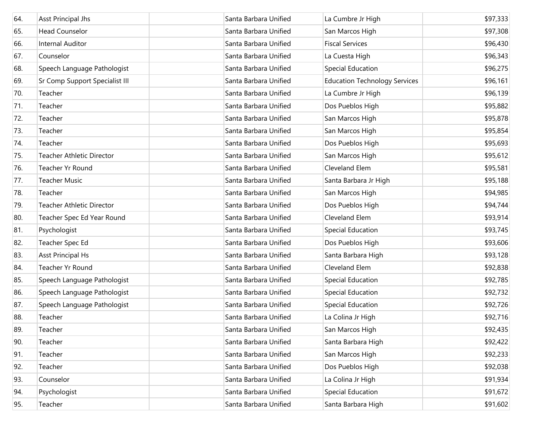| 64. | <b>Asst Principal Jhs</b>        | Santa Barbara Unified | La Cumbre Jr High                    | \$97,333 |
|-----|----------------------------------|-----------------------|--------------------------------------|----------|
| 65. | <b>Head Counselor</b>            | Santa Barbara Unified | San Marcos High                      | \$97,308 |
| 66. | <b>Internal Auditor</b>          | Santa Barbara Unified | <b>Fiscal Services</b>               | \$96,430 |
| 67. | Counselor                        | Santa Barbara Unified | La Cuesta High                       | \$96,343 |
| 68. | Speech Language Pathologist      | Santa Barbara Unified | <b>Special Education</b>             | \$96,275 |
| 69. | Sr Comp Support Specialist III   | Santa Barbara Unified | <b>Education Technology Services</b> | \$96,161 |
| 70. | Teacher                          | Santa Barbara Unified | La Cumbre Jr High                    | \$96,139 |
| 71. | Teacher                          | Santa Barbara Unified | Dos Pueblos High                     | \$95,882 |
| 72. | Teacher                          | Santa Barbara Unified | San Marcos High                      | \$95,878 |
| 73. | Teacher                          | Santa Barbara Unified | San Marcos High                      | \$95,854 |
| 74. | Teacher                          | Santa Barbara Unified | Dos Pueblos High                     | \$95,693 |
| 75. | <b>Teacher Athletic Director</b> | Santa Barbara Unified | San Marcos High                      | \$95,612 |
| 76. | Teacher Yr Round                 | Santa Barbara Unified | Cleveland Elem                       | \$95,581 |
| 77. | <b>Teacher Music</b>             | Santa Barbara Unified | Santa Barbara Jr High                | \$95,188 |
| 78. | Teacher                          | Santa Barbara Unified | San Marcos High                      | \$94,985 |
| 79. | <b>Teacher Athletic Director</b> | Santa Barbara Unified | Dos Pueblos High                     | \$94,744 |
| 80. | Teacher Spec Ed Year Round       | Santa Barbara Unified | Cleveland Elem                       | \$93,914 |
| 81. | Psychologist                     | Santa Barbara Unified | Special Education                    | \$93,745 |
| 82. | Teacher Spec Ed                  | Santa Barbara Unified | Dos Pueblos High                     | \$93,606 |
| 83. | <b>Asst Principal Hs</b>         | Santa Barbara Unified | Santa Barbara High                   | \$93,128 |
| 84. | Teacher Yr Round                 | Santa Barbara Unified | Cleveland Elem                       | \$92,838 |
| 85. | Speech Language Pathologist      | Santa Barbara Unified | Special Education                    | \$92,785 |
| 86. | Speech Language Pathologist      | Santa Barbara Unified | Special Education                    | \$92,732 |
| 87. | Speech Language Pathologist      | Santa Barbara Unified | Special Education                    | \$92,726 |
| 88. | Teacher                          | Santa Barbara Unified | La Colina Jr High                    | \$92,716 |
| 89. | Teacher                          | Santa Barbara Unified | San Marcos High                      | \$92,435 |
| 90. | Teacher                          | Santa Barbara Unified | Santa Barbara High                   | \$92,422 |
| 91. | Teacher                          | Santa Barbara Unified | San Marcos High                      | \$92,233 |
| 92. | Teacher                          | Santa Barbara Unified | Dos Pueblos High                     | \$92,038 |
| 93. | Counselor                        | Santa Barbara Unified | La Colina Jr High                    | \$91,934 |
| 94. | Psychologist                     | Santa Barbara Unified | <b>Special Education</b>             | \$91,672 |
| 95. | Teacher                          | Santa Barbara Unified | Santa Barbara High                   | \$91,602 |